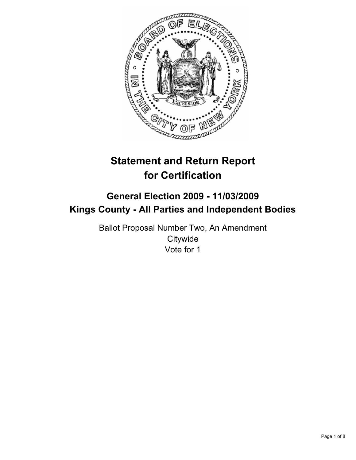

# **Statement and Return Report for Certification**

## **General Election 2009 - 11/03/2009 Kings County - All Parties and Independent Bodies**

Ballot Proposal Number Two, An Amendment **Citywide** Vote for 1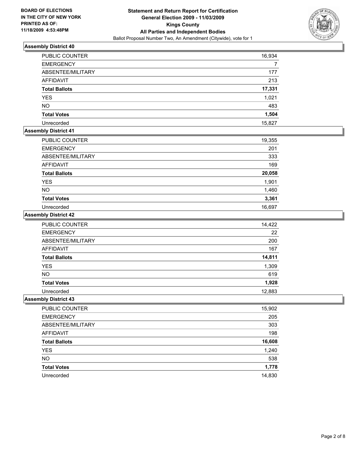

| PUBLIC COUNTER       | 16,934 |
|----------------------|--------|
| <b>EMERGENCY</b>     |        |
| ABSENTEE/MILITARY    | 177    |
| <b>AFFIDAVIT</b>     | 213    |
| <b>Total Ballots</b> | 17,331 |
| <b>YES</b>           | 1,021  |
| <b>NO</b>            | 483    |
| <b>Total Votes</b>   | 1,504  |
| Unrecorded           | 15,827 |

### **Assembly District 41**

| <b>PUBLIC COUNTER</b> | 19,355 |
|-----------------------|--------|
| <b>EMERGENCY</b>      | 201    |
| ABSENTEE/MILITARY     | 333    |
| <b>AFFIDAVIT</b>      | 169    |
| <b>Total Ballots</b>  | 20,058 |
| <b>YES</b>            | 1,901  |
| <b>NO</b>             | 1,460  |
| <b>Total Votes</b>    | 3,361  |
| Unrecorded            | 16.697 |

### **Assembly District 42**

| PUBLIC COUNTER       | 14,422 |
|----------------------|--------|
| <b>EMERGENCY</b>     | 22     |
| ABSENTEE/MILITARY    | 200    |
| AFFIDAVIT            | 167    |
| <b>Total Ballots</b> | 14,811 |
| <b>YES</b>           | 1,309  |
| <b>NO</b>            | 619    |
| <b>Total Votes</b>   | 1,928  |
| Unrecorded           | 12,883 |

| PUBLIC COUNTER       | 15,902 |
|----------------------|--------|
| <b>EMERGENCY</b>     | 205    |
| ABSENTEE/MILITARY    | 303    |
| AFFIDAVIT            | 198    |
| <b>Total Ballots</b> | 16,608 |
| <b>YES</b>           | 1,240  |
| <b>NO</b>            | 538    |
| <b>Total Votes</b>   | 1,778  |
| Unrecorded           | 14,830 |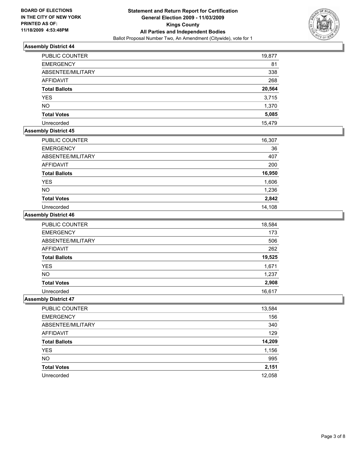

| <b>PUBLIC COUNTER</b> | 19,877 |
|-----------------------|--------|
| <b>EMERGENCY</b>      | 81     |
| ABSENTEE/MILITARY     | 338    |
| <b>AFFIDAVIT</b>      | 268    |
| <b>Total Ballots</b>  | 20,564 |
| <b>YES</b>            | 3,715  |
| <b>NO</b>             | 1,370  |
| <b>Total Votes</b>    | 5,085  |
| Unrecorded            | 15.479 |

#### **Assembly District 45**

| PUBLIC COUNTER       | 16,307 |
|----------------------|--------|
| <b>EMERGENCY</b>     | 36     |
| ABSENTEE/MILITARY    | 407    |
| <b>AFFIDAVIT</b>     | 200    |
| <b>Total Ballots</b> | 16,950 |
| <b>YES</b>           | 1,606  |
| <b>NO</b>            | 1,236  |
| <b>Total Votes</b>   | 2,842  |
| Unrecorded           | 14.108 |

### **Assembly District 46**

| <b>PUBLIC COUNTER</b> | 18,584 |
|-----------------------|--------|
| <b>EMERGENCY</b>      | 173    |
| ABSENTEE/MILITARY     | 506    |
| <b>AFFIDAVIT</b>      | 262    |
| <b>Total Ballots</b>  | 19,525 |
| <b>YES</b>            | 1,671  |
| <b>NO</b>             | 1,237  |
| <b>Total Votes</b>    | 2,908  |
| Unrecorded            | 16.617 |

| PUBLIC COUNTER       | 13,584 |
|----------------------|--------|
| <b>EMERGENCY</b>     | 156    |
| ABSENTEE/MILITARY    | 340    |
| <b>AFFIDAVIT</b>     | 129    |
| <b>Total Ballots</b> | 14,209 |
| YES                  | 1,156  |
| <b>NO</b>            | 995    |
| <b>Total Votes</b>   | 2,151  |
| Unrecorded           | 12,058 |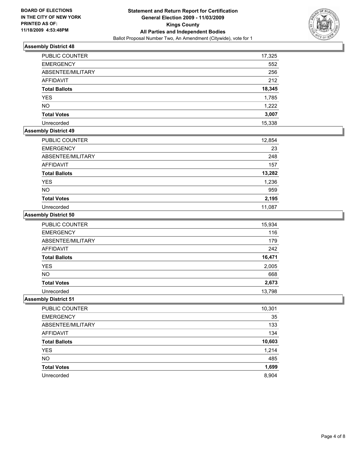

| <b>PUBLIC COUNTER</b> | 17,325 |
|-----------------------|--------|
| <b>EMERGENCY</b>      | 552    |
| ABSENTEE/MILITARY     | 256    |
| AFFIDAVIT             | 212    |
| <b>Total Ballots</b>  | 18,345 |
| <b>YES</b>            | 1,785  |
| <b>NO</b>             | 1,222  |
| <b>Total Votes</b>    | 3,007  |
| Unrecorded            | 15,338 |

### **Assembly District 49**

| PUBLIC COUNTER       | 12,854 |
|----------------------|--------|
| <b>EMERGENCY</b>     | 23     |
| ABSENTEE/MILITARY    | 248    |
| <b>AFFIDAVIT</b>     | 157    |
| <b>Total Ballots</b> | 13,282 |
| <b>YES</b>           | 1,236  |
| <b>NO</b>            | 959    |
| <b>Total Votes</b>   | 2,195  |
| Unrecorded           | 11.087 |

### **Assembly District 50**

| <b>PUBLIC COUNTER</b> | 15,934 |
|-----------------------|--------|
| <b>EMERGENCY</b>      | 116    |
| ABSENTEE/MILITARY     | 179    |
| <b>AFFIDAVIT</b>      | 242    |
| <b>Total Ballots</b>  | 16,471 |
| <b>YES</b>            | 2,005  |
| <b>NO</b>             | 668    |
| <b>Total Votes</b>    | 2,673  |
| Unrecorded            | 13,798 |

| PUBLIC COUNTER       | 10,301 |
|----------------------|--------|
| <b>EMERGENCY</b>     | 35     |
| ABSENTEE/MILITARY    | 133    |
| <b>AFFIDAVIT</b>     | 134    |
| <b>Total Ballots</b> | 10,603 |
| <b>YES</b>           | 1,214  |
| <b>NO</b>            | 485    |
| <b>Total Votes</b>   | 1,699  |
| Unrecorded           | 8,904  |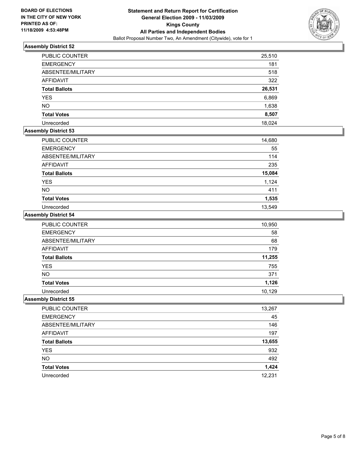

| <b>PUBLIC COUNTER</b> | 25,510 |
|-----------------------|--------|
| <b>EMERGENCY</b>      | 181    |
| ABSENTEE/MILITARY     | 518    |
| <b>AFFIDAVIT</b>      | 322    |
| <b>Total Ballots</b>  | 26,531 |
| <b>YES</b>            | 6,869  |
| <b>NO</b>             | 1,638  |
| <b>Total Votes</b>    | 8,507  |
| Unrecorded            | 18.024 |

#### **Assembly District 53**

| <b>PUBLIC COUNTER</b> | 14,680 |
|-----------------------|--------|
| <b>EMERGENCY</b>      | 55     |
| ABSENTEE/MILITARY     | 114    |
| AFFIDAVIT             | 235    |
| <b>Total Ballots</b>  | 15,084 |
| <b>YES</b>            | 1,124  |
| <b>NO</b>             | 411    |
| <b>Total Votes</b>    | 1,535  |
| Unrecorded            | 13.549 |

### **Assembly District 54**

| <b>PUBLIC COUNTER</b> | 10,950 |
|-----------------------|--------|
| <b>EMERGENCY</b>      | 58     |
| ABSENTEE/MILITARY     | 68     |
| <b>AFFIDAVIT</b>      | 179    |
| <b>Total Ballots</b>  | 11,255 |
| <b>YES</b>            | 755    |
| <b>NO</b>             | 371    |
| <b>Total Votes</b>    | 1,126  |
| Unrecorded            | 10,129 |

| PUBLIC COUNTER       | 13,267 |
|----------------------|--------|
| <b>EMERGENCY</b>     | 45     |
| ABSENTEE/MILITARY    | 146    |
| <b>AFFIDAVIT</b>     | 197    |
| <b>Total Ballots</b> | 13,655 |
| <b>YES</b>           | 932    |
| <b>NO</b>            | 492    |
| <b>Total Votes</b>   | 1,424  |
| Unrecorded           | 12.231 |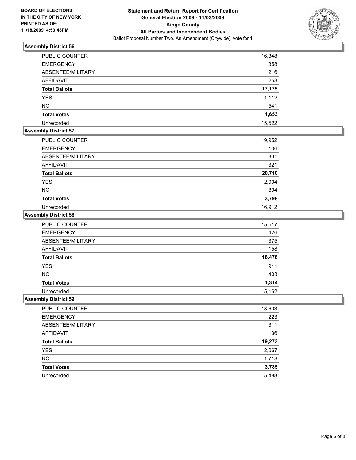

| <b>PUBLIC COUNTER</b> | 16,348 |
|-----------------------|--------|
| <b>EMERGENCY</b>      | 358    |
| ABSENTEE/MILITARY     | 216    |
| <b>AFFIDAVIT</b>      | 253    |
| <b>Total Ballots</b>  | 17,175 |
| <b>YES</b>            | 1,112  |
| <b>NO</b>             | 541    |
| <b>Total Votes</b>    | 1,653  |
| Unrecorded            | 15,522 |

### **Assembly District 57**

| PUBLIC COUNTER       | 19,952 |
|----------------------|--------|
| <b>EMERGENCY</b>     | 106    |
| ABSENTEE/MILITARY    | 331    |
| <b>AFFIDAVIT</b>     | 321    |
| <b>Total Ballots</b> | 20,710 |
| <b>YES</b>           | 2,904  |
| <b>NO</b>            | 894    |
| <b>Total Votes</b>   | 3,798  |
| Unrecorded           | 16,912 |

### **Assembly District 58**

| <b>PUBLIC COUNTER</b> | 15,517 |
|-----------------------|--------|
| <b>EMERGENCY</b>      | 426    |
| ABSENTEE/MILITARY     | 375    |
| <b>AFFIDAVIT</b>      | 158    |
| <b>Total Ballots</b>  | 16,476 |
| <b>YES</b>            | 911    |
| <b>NO</b>             | 403    |
| <b>Total Votes</b>    | 1,314  |
| Unrecorded            | 15.162 |

| PUBLIC COUNTER       | 18,603 |
|----------------------|--------|
| <b>EMERGENCY</b>     | 223    |
| ABSENTEE/MILITARY    | 311    |
| <b>AFFIDAVIT</b>     | 136    |
| <b>Total Ballots</b> | 19,273 |
| YES                  | 2,067  |
| <b>NO</b>            | 1,718  |
| <b>Total Votes</b>   | 3,785  |
| Unrecorded           | 15,488 |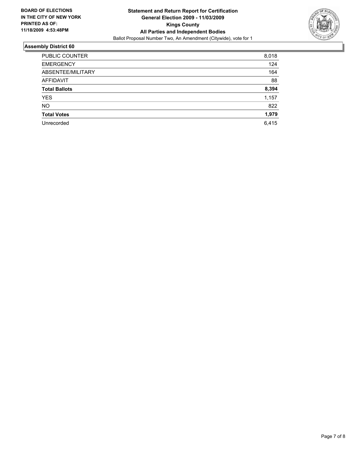

| <b>PUBLIC COUNTER</b> | 8,018 |
|-----------------------|-------|
| <b>EMERGENCY</b>      | 124   |
| ABSENTEE/MILITARY     | 164   |
| AFFIDAVIT             | 88    |
| <b>Total Ballots</b>  | 8,394 |
| <b>YES</b>            | 1,157 |
| <b>NO</b>             | 822   |
| <b>Total Votes</b>    | 1,979 |
| Unrecorded            | 6,415 |